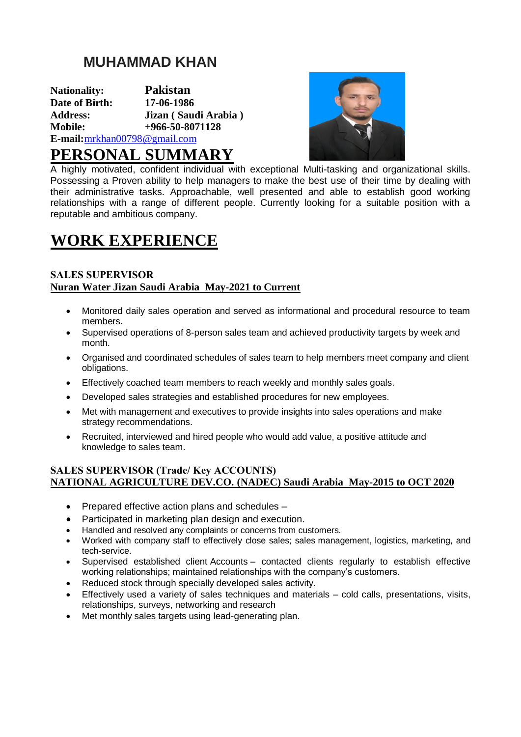## **MUHAMMAD KHAN**

**Nationality: Pakistan Date of Birth: Address: Jizan ( Saudi Arabia ) Mobile: +966-50-8071128 E-mail:**[mrkhan00798@gmail.com](mailto:mrkhan00798@gmail.com)



## **PERSONAL SUMMARY**

A highly motivated, confident individual with exceptional Multi-tasking and organizational skills. Possessing a Proven ability to help managers to make the best use of their time by dealing with their administrative tasks. Approachable, well presented and able to establish good working relationships with a range of different people. Currently looking for a suitable position with a reputable and ambitious company.

# **WORK EXPERIENCE**

### **SALES SUPERVISOR Nuran Water Jizan Saudi Arabia May-2021 to Current**

- Monitored daily sales operation and served as informational and procedural resource to team members.
- Supervised operations of 8-person sales team and achieved productivity targets by week and month.
- Organised and coordinated schedules of sales team to help members meet company and client obligations.
- Effectively coached team members to reach weekly and monthly sales goals.
- Developed sales strategies and established procedures for new employees.
- Met with management and executives to provide insights into sales operations and make strategy recommendations.
- Recruited, interviewed and hired people who would add value, a positive attitude and knowledge to sales team.

### **SALES SUPERVISOR (Trade/ Key ACCOUNTS) NATIONAL AGRICULTURE DEV.CO. (NADEC) Saudi Arabia May-2015 to OCT 2020**

- Prepared effective action plans and schedules –
- Participated in marketing plan design and execution.
- Handled and resolved any complaints or concerns from customers.
- Worked with company staff to effectively close sales; sales management, logistics, marketing, and tech-service.
- Supervised established client Accounts contacted clients regularly to establish effective working relationships; maintained relationships with the company's customers.
- Reduced stock through specially developed sales activity.
- Effectively used a variety of sales techniques and materials cold calls, presentations, visits, relationships, surveys, networking and research
- Met monthly sales targets using lead-generating plan.